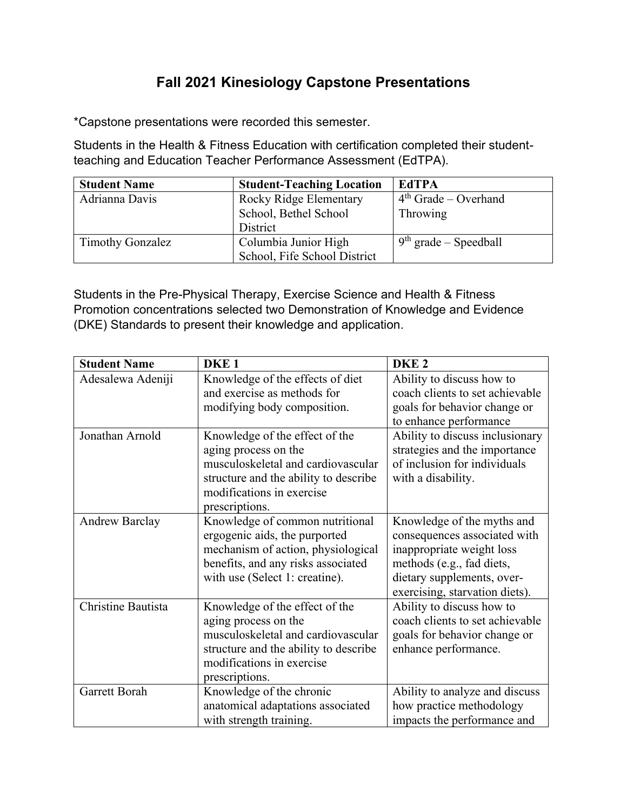## **Fall 2021 Kinesiology Capstone Presentations**

\*Capstone presentations were recorded this semester.

Students in the Health & Fitness Education with certification completed their studentteaching and Education Teacher Performance Assessment (EdTPA).

| <b>Student Name</b>     | <b>Student-Teaching Location</b> | <b>EdTPA</b>            |
|-------------------------|----------------------------------|-------------------------|
| Adrianna Davis          | Rocky Ridge Elementary           | $4th$ Grade – Overhand  |
|                         | School, Bethel School            | Throwing                |
|                         | District                         |                         |
| <b>Timothy Gonzalez</b> | Columbia Junior High             | $9th$ grade – Speedball |
|                         | School, Fife School District     |                         |

Students in the Pre-Physical Therapy, Exercise Science and Health & Fitness Promotion concentrations selected two Demonstration of Knowledge and Evidence (DKE) Standards to present their knowledge and application.

| <b>Student Name</b>   | DKE <sub>1</sub>                                                                                                                                                                     | DKE <sub>2</sub>                                                                                                                                                                     |
|-----------------------|--------------------------------------------------------------------------------------------------------------------------------------------------------------------------------------|--------------------------------------------------------------------------------------------------------------------------------------------------------------------------------------|
| Adesalewa Adeniji     | Knowledge of the effects of diet<br>and exercise as methods for                                                                                                                      | Ability to discuss how to<br>coach clients to set achievable                                                                                                                         |
|                       | modifying body composition.                                                                                                                                                          | goals for behavior change or<br>to enhance performance                                                                                                                               |
| Jonathan Arnold       | Knowledge of the effect of the<br>aging process on the<br>musculoskeletal and cardiovascular<br>structure and the ability to describe<br>modifications in exercise<br>prescriptions. | Ability to discuss inclusionary<br>strategies and the importance<br>of inclusion for individuals<br>with a disability.                                                               |
| <b>Andrew Barclay</b> | Knowledge of common nutritional<br>ergogenic aids, the purported<br>mechanism of action, physiological<br>benefits, and any risks associated<br>with use (Select 1: creatine).       | Knowledge of the myths and<br>consequences associated with<br>inappropriate weight loss<br>methods (e.g., fad diets,<br>dietary supplements, over-<br>exercising, starvation diets). |
| Christine Bautista    | Knowledge of the effect of the<br>aging process on the<br>musculoskeletal and cardiovascular<br>structure and the ability to describe<br>modifications in exercise<br>prescriptions. | Ability to discuss how to<br>coach clients to set achievable<br>goals for behavior change or<br>enhance performance.                                                                 |
| Garrett Borah         | Knowledge of the chronic<br>anatomical adaptations associated<br>with strength training.                                                                                             | Ability to analyze and discuss<br>how practice methodology<br>impacts the performance and                                                                                            |